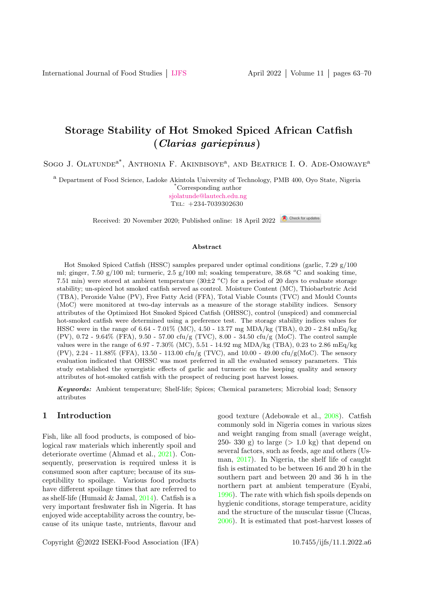# Storage Stability of Hot Smoked Spiced African Catfish (Clarias gariepinus)

Sogo J. Olatunde<sup>a\*</sup>, Anthonia F. Akinbisoye<sup>a</sup>, and Beatrice I. O. Ade-Omowaye<sup>a</sup>

<sup>a</sup> Department of Food Science, Ladoke Akintola University of Technology, PMB 400, Oyo State, Nigeria

\*Corresponding author [sjolatunde@lautech.edu.ng](mailto: sjolatunde@lautech.edu.ng) Tel: +234-7039302630

Check for updates Received: 20 November 2020; Published online: 18 April 2022

#### Abstract

Hot Smoked Spiced Catfish (HSSC) samples prepared under optimal conditions (garlic, 7.29 g/100 ml; ginger, 7.50 g/100 ml; turmeric, 2.5 g/100 ml; soaking temperature, 38.68 °C and soaking time, 7.51 min) were stored at ambient temperature (30 $\pm$ 2 °C) for a period of 20 days to evaluate storage stability; un-spiced hot smoked catfish served as control. Moisture Content (MC), Thiobarbutric Acid (TBA), Peroxide Value (PV), Free Fatty Acid (FFA), Total Viable Counts (TVC) and Mould Counts (MoC) were monitored at two-day intervals as a measure of the storage stability indices. Sensory attributes of the Optimized Hot Smoked Spiced Catfish (OHSSC), control (unspiced) and commercial hot-smoked catfish were determined using a preference test. The storage stability indices values for HSSC were in the range of 6.64 - 7.01% (MC), 4.50 - 13.77 mg MDA/kg (TBA), 0.20 - 2.84 mEq/kg (PV), 0.72 - 9.64% (FFA), 9.50 - 57.00 cfu/g (TVC), 8.00 - 34.50 cfu/g (MoC). The control sample values were in the range of 6.97 - 7.30% (MC), 5.51 - 14.92 mg MDA/kg (TBA), 0.23 to 2.86 mEq/kg (PV), 2.24 - 11.88% (FFA), 13.50 - 113.00 cfu/g (TVC), and 10.00 - 49.00 cfu/g(MoC). The sensory evaluation indicated that OHSSC was most preferred in all the evaluated sensory parameters. This study established the synergistic effects of garlic and turmeric on the keeping quality and sensory attributes of hot-smoked catfish with the prospect of reducing post harvest losses.

Keywords: Ambient temperature; Shelf-life; Spices; Chemical parameters; Microbial load; Sensory attributes

#### 1 Introduction

Fish, like all food products, is composed of biological raw materials which inherently spoil and deteriorate overtime (Ahmad et al., [2021\)](#page-6-0). Consequently, preservation is required unless it is consumed soon after capture; because of its susceptibility to spoilage. Various food products have different spoilage times that are referred to as shelf-life (Humaid  $&$  Jamal,  $2014$ ). Catfish is a very important freshwater fish in Nigeria. It has enjoyed wide acceptability across the country, because of its unique taste, nutrients, flavour and good texture (Adebowale et al., [2008\)](#page-5-0). Catfish commonly sold in Nigeria comes in various sizes and weight ranging from small (average weight, 250- 330 g) to large  $(> 1.0 \text{ kg})$  that depend on several factors, such as feeds, age and others (Usman, [2017\)](#page-7-0). In Nigeria, the shelf life of caught fish is estimated to be between 16 and 20 h in the southern part and between 20 and 36 h in the northern part at ambient temperature (Eyabi, [1996\)](#page-6-2). The rate with which fish spoils depends on hygienic conditions, storage temperature, acidity and the structure of the muscular tissue (Clucas, [2006\)](#page-6-3). It is estimated that post-harvest losses of

Copyright  $\odot$ 2022 ISEKI-Food Association (IFA) 10.7455/ijfs/11.1.2022.a6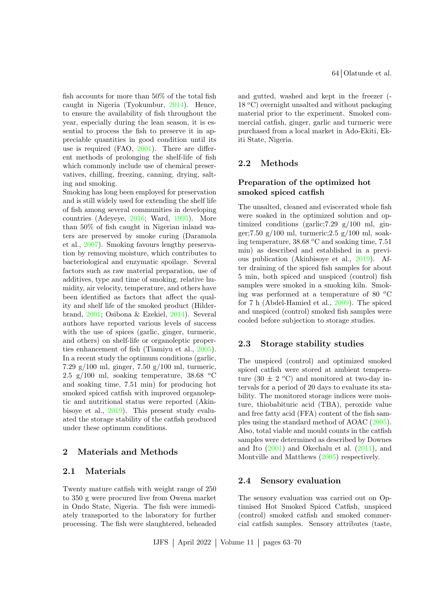fish accounts for more than 50% of the total fish caught in Nigeria (Tyokumbur, [2014\)](#page-7-1). Hence, to ensure the availability of fish throughout the year, especially during the lean season, it is essential to process the fish to preserve it in appreciable quantities in good condition until its use is required (FAO, [2001\)](#page-6-4). There are different methods of prolonging the shelf-life of fish which commonly include use of chemical preservatives, chilling, freezing, canning, drying, salting and smoking.

Smoking has long been employed for preservation and is still widely used for extending the shelf life of fish among several communities in developing countries (Adeyeye, [2016;](#page-5-1) Ward, [1995\)](#page-7-2). More than 50% of fish caught in Nigerian inland waters are preserved by smoke curing (Daramola et al., [2007\)](#page-6-5). Smoking favours lengthy preservation by removing moisture, which contributes to bacteriological and enzymatic spoilage. Several factors such as raw material preparation, use of additives, type and time of smoking, relative humidity, air velocity, temperature, and others have been identified as factors that affect the quality and shelf life of the smoked product (Hilderbrand, [2001;](#page-6-6) Osibona & Ezekiel, [2014\)](#page-7-3). Several authors have reported various levels of success with the use of spices (garlic, ginger, turmeric, and others) on shelf-life or organoleptic properties enhancement of fish (Tiamiyu et al., [2005\)](#page-7-4). In a recent study the optimum conditions (garlic, 7.29 g/100 ml, ginger, 7.50 g/100 ml, turmeric, 2.5 g/100 ml, soaking temperature, 38.68  $\degree$ C and soaking time, 7.51 min) for producing hot smoked spiced catfish with improved organoleptic and nutritional status were reported (Akinbisoye et al., [2019\)](#page-6-7). This present study evaluated the storage stability of the catfish produced under these optimum conditions.

#### 2 Materials and Methods

#### 2.1 Materials

Twenty mature catfish with weight range of 250 to 350 g were procured live from Owena market in Ondo State, Nigeria. The fish were immediately transported to the laboratory for further processing. The fish were slaughtered, beheaded and gutted, washed and kept in the freezer (-  $18\text{ °C}$  overnight unsalted and without packaging material prior to the experiment. Smoked commercial catfish, ginger, garlic and turmeric were purchased from a local market in Ado-Ekiti, Ekiti State, Nigeria.

### 2.2 Methods

### Preparation of the optimized hot smoked spiced catfish

The unsalted, cleaned and eviscerated whole fish were soaked in the optimized solution and optimized conditions (garlic;7.29 g/100 ml, ginger;7.50 g/100 ml, turmeric;2.5 g/100 ml, soaking temperature,  $38.68\text{ °C}$  and soaking time,  $7.51$ min) as described and established in a previous publication (Akinbisoye et al., [2019\)](#page-6-7). After draining of the spiced fish samples for about 5 min, both spiced and unspiced (control) fish samples were smoked in a smoking kiln. Smoking was performed at a temperature of 80 $\degree$ C for 7 h (Abdel-Hamied et al., [2009\)](#page-5-2). The spiced and unspiced (control) smoked fish samples were cooled before subjection to storage studies.

#### 2.3 Storage stability studies

The unspiced (control) and optimized smoked spiced catfish were stored at ambient temperature (30  $\pm$  2 °C) and monitored at two-day intervals for a period of 20 days to evaluate its stability. The monitored storage indices were moisture, thiobabituric acid (TBA), peroxide value and free fatty acid (FFA) content of the fish samples using the standard method of AOAC [\(2005\)](#page-6-8). Also, total viable and mould counts in the catfish samples were determined as described by Downes and Ito [\(2001\)](#page-6-9) and Okechalu et al. [\(2011\)](#page-7-5), and Montville and Matthews [\(2005\)](#page-7-6) respectively.

### 2.4 Sensory evaluation

The sensory evaluation was carried out on Optimised Hot Smoked Spiced Catfish, unspiced (control) smoked catfish and smoked commercial catfish samples. Sensory attributes (taste,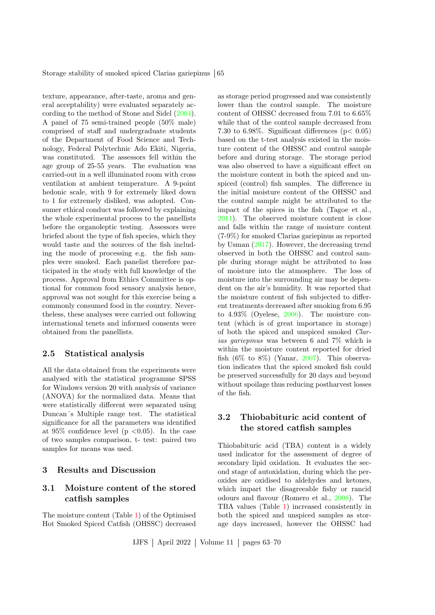Storage stability of smoked spiced Clarias gariepinus  $\vert 65 \rangle$ 

texture, appearance, after-taste, aroma and general acceptability) were evaluated separately according to the method of Stone and Sidel [\(2004\)](#page-7-7). A panel of 75 semi-trained people (50% male) comprised of staff and undergraduate students of the Department of Food Science and Technology, Federal Polytechnic Ado Ekiti, Nigeria, was constituted. The assessors fell within the age group of 25-55 years. The evaluation was carried-out in a well illuminated room with cross ventilation at ambient temperature. A 9-point hedonic scale, with 9 for extremely liked down to 1 for extremely disliked, was adopted. Consumer ethical conduct was followed by explaining the whole experimental process to the panellists before the organoleptic testing. Assessors were briefed about the type of fish species, which they would taste and the sources of the fish including the mode of processing e.g. the fish samples were smoked. Each panelist therefore participated in the study with full knowledge of the process. Approval from Ethics Committee is optional for common food sensory analysis hence, approval was not sought for this exercise being a commonly consumed food in the country. Nevertheless, these analyses were carried out following international tenets and informed consents were obtained from the panellists.

#### 2.5 Statistical analysis

All the data obtained from the experiments were analysed with the statistical programme SPSS for Windows version 20 with analysis of variance (ANOVA) for the normalized data. Means that were statistically different were separated using Duncan´s Multiple range test. The statistical significance for all the parameters was identified at  $95\%$  confidence level (p  $\langle 0.05 \rangle$ ). In the case of two samples comparison, t- test: paired two samples for means was used.

### 3 Results and Discussion

### 3.1 Moisture content of the stored catfish samples

The moisture content (Table [1\)](#page-3-0) of the Optimised Hot Smoked Spiced Catfish (OHSSC) decreased as storage period progressed and was consistently lower than the control sample. The moisture content of OHSSC decreased from 7.01 to 6.65% while that of the control sample decreased from 7.30 to 6.98%. Significant differences ( $p < 0.05$ ) based on the t-test analysis existed in the moisture content of the OHSSC and control sample before and during storage. The storage period was also observed to have a significant effect on the moisture content in both the spiced and unspiced (control) fish samples. The difference in the initial moisture content of the OHSSC and the control sample might be attributed to the impact of the spices in the fish (Tagoe et al., [2011\)](#page-7-8). The observed moisture content is close and falls within the range of moisture content (7-9%) for smoked Clarias gariepinus as reported by Usman [\(2017\)](#page-7-0). However, the decreasing trend observed in both the OHSSC and control sample during storage might be attributed to loss of moisture into the atmosphere. The loss of moisture into the surrounding air may be dependent on the air's humidity. It was reported that the moisture content of fish subjected to different treatments decreased after smoking from 6.95 to 4.93% (Oyelese, [2006\)](#page-7-9). The moisture content (which is of great importance in storage) of both the spiced and unspiced smoked Clarias gariepinus was between 6 and 7\% which is within the moisture content reported for dried fish  $(6\%$  to  $8\%)$  (Yanar, [2007\)](#page-7-10). This observation indicates that the spiced smoked fish could be preserved successfully for 20 days and beyond without spoilage thus reducing postharvest losses of the fish.

# 3.2 Thiobabituric acid content of the stored catfish samples

Thiobabituric acid (TBA) content is a widely used indicator for the assessment of degree of secondary lipid oxidation. It evaluates the second stage of autoxidation, during which the peroxides are oxidised to aldehydes and ketones, which impart the disagreeable fishy or rancid odours and flavour (Romero et al., [2008\)](#page-7-11). The TBA values (Table [1\)](#page-3-0) increased consistently in both the spiced and unspiced samples as storage days increased, however the OHSSC had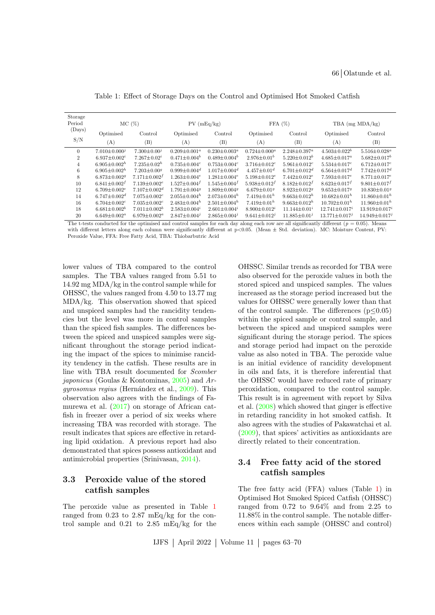| Storage<br>Period | $MC(\%)$                       |                                | $PV$ (mEq/kg)                  |                                | FFA $(\%)$                     |                                | $TBA$ (mg $MDA/kg$ )           |                                |
|-------------------|--------------------------------|--------------------------------|--------------------------------|--------------------------------|--------------------------------|--------------------------------|--------------------------------|--------------------------------|
| (Days)            | Optimised                      | Control                        | Optimised                      | Control                        | Optimised                      | Control                        | Optimised                      | Control                        |
| S/N               | (A)                            | (B)                            | (A)                            | (B)                            | (A)                            | (B)                            | (A)                            | (B)                            |
| $\overline{0}$    | $7.010 \pm 0.000^j$            | $7.300 \pm 0.00^{j}$           | $0.209 \pm 0.001^a$            | $0.230 \pm 0.003^a$            | $0.724 \pm 0.000^a$            | $2.248 \pm 0.397^a$            | $4.503 \pm 0.022^b$            | $5.516 \pm 0.028^a$            |
| $\mathcal{D}$     | $6.937 \pm 0.002^i$            | $7.267 \pm 0.02^i$             | $0.471 \pm 0.004^b$            | $0.489 \pm 0.004^b$            | $2.976 \pm 0.01^b$             | $5.220 \pm 0.012^b$            | $4.685 \pm 0.017^a$            | $5.682 \pm 0.017^b$            |
| 4                 | $6.905 \pm 0.002^h$            | $7.235 \pm 0.02^h$             | $0.735 \pm 0.004$ <sup>c</sup> | $0.753 \pm 0.004$ <sup>c</sup> | $3.716 \pm 0.012$ <sup>c</sup> | $5.961 \pm 0.012$ <sup>c</sup> | $5.534 \pm 0.017$ <sup>c</sup> | $6.712 \pm 0.017$ <sup>c</sup> |
| 6                 | $6.905 \pm 0.002^h$            | $7.203 \pm 0.009$              | $0.999 \pm 0.004^d$            | $1.017 \pm 0.004^d$            | $4.457 \pm 0.01^d$             | $6.701 \pm 0.012^d$            | $6.564 \pm 0.017^d$            | $7.742 \pm 0.017^d$            |
| 8                 | $6.873 \pm 0.0029$             | $7.171 \pm 0.002^f$            | $1.263 \pm 0.004^e$            | $1.281 \pm 0.004e$             | $5.198 \pm 0.012^e$            | $7.442+0.012^e$                | $7.593 \pm 0.017^e$            | $8.771 \pm 0.017^e$            |
| 10                | $6.841 \pm 0.002^{f}$          | $7.139 \pm 0.002^e$            | $1.527 \pm 0.004$              | $1.545 \pm 0.004$              | $5.938 \pm 0.012^f$            | $8.182 \pm 0.012^f$            | $8.623 \pm 0.017^f$            | $9.801 \pm 0.017^{f}$          |
| 12                | $6.709 + 0.002^e$              | $7.107 + 0.002^d$              | $1.791 \pm 0.0049$             | $1.809 + 0.0049$               | $6.679 + 0.019$                | $8.923 + 0.012g$               | $9.653 \pm 0.017$ <sup>g</sup> | $10.830 \pm 0.01$ <sup>g</sup> |
| 14                | $6.747 \pm 0.002^d$            | $7.075 \pm 0.002$ <sup>c</sup> | $2.055 \pm 0.004^h$            | $2.073 \pm 0.004^h$            | $7.419 \pm 0.01^h$             | $9.663 \pm 0.012^h$            | $10.682 \pm 0.01^h$            | $11.860 \pm 0.01^h$            |
| 16                | $6.704 \pm 0.002$ <sup>c</sup> | $7.035 \pm 0.002$ <sup>c</sup> | $2.483 \pm 0.004^h$            | $2.501 \pm 0.004^h$            | $7.419 \pm 0.01^h$             | $9.663 \pm 0.012^h$            | $10.702 \pm 0.01^h$            | $11.960 \pm 0.01^h$            |
| 18                | $6.681 + 0.002^b$              | $7.011 \pm 0.002^b$            | $2.583 \pm 0.004^i$            | $2.601 + 0.004^{i}$            | $8.900 + 0.012^i$              | $11.144 + 0.01^{i}$            | $12.741 \pm 0.017^i$           | $13.919 + 0.017^i$             |
| 20                | $6.649 \pm 0.002^a$            | $6.979 \pm 0.002^a$            | $2.847 \pm 0.004^{j}$          | $2.865 \pm 0.004^{j}$          | $9.641 \pm 0.012^{j}$          | $11.885 \pm 0.01^{j}$          | $13.771 \pm 0.017^j$           | $14.949 \pm 0.017^{j}$         |

<span id="page-3-0"></span>Table 1: Effect of Storage Days on the Control and Optimised Hot Smoked Catfish

The t-tests conducted for the optimised and control samples for each day along each row are all significantly different ( $p = 0.05$ ). Means with different letters along each column were significantly different at  $p<0.05$ . (Mean  $\pm$  Std. deviation). MC: Moisture Content, PV: Peroxide Value, FFA: Free Fatty Acid, TBA: Thiobarbutric Acid

lower values of TBA compared to the control samples. The TBA values ranged from 5.51 to 14.92 mg MDA/kg in the control sample while for OHSSC, the values ranged from 4.50 to 13.77 mg MDA/kg. This observation showed that spiced and unspiced samples had the rancidity tendencies but the level was more in control samples than the spiced fish samples. The differences between the spiced and unspiced samples were significant throughout the storage period indicating the impact of the spices to minimise rancidity tendency in the catfish. These results are in line with TBA result documented for Scomber japonicus (Goulas & Kontominas, [2005\)](#page-6-10) and Ar-gyrosomus regius (Hernández et al., [2009\)](#page-6-11). This observation also agrees with the findings of Famurewa et al. [\(2017\)](#page-6-12) on storage of African catfish in freezer over a period of six weeks where increasing TBA was recorded with storage. The result indicates that spices are effective in retarding lipid oxidation. A previous report had also demonstrated that spices possess antioxidant and antimicrobial properties (Srinivasan, [2014\)](#page-7-12).

### 3.3 Peroxide value of the stored catfish samples

The peroxide value as presented in Table [1](#page-3-0) ranged from 0.23 to 2.87 mEq/kg for the control sample and 0.21 to 2.85 mEq/kg for the OHSSC. Similar trends as recorded for TBA were also observed for the peroxide values in both the stored spiced and unspiced samples. The values increased as the storage period increased but the values for OHSSC were generally lower than that of the control sample. The differences (p≤0.05) within the spiced sample or control sample, and between the spiced and unspiced samples were significant during the storage period. The spices and storage period had impact on the peroxide value as also noted in TBA. The peroxide value is an initial evidence of rancidity development in oils and fats, it is therefore inferential that the OHSSC would have reduced rate of primary peroxidation, compared to the control sample. This result is in agreement with report by Silva et al. [\(2008\)](#page-7-13) which showed that ginger is effective in retarding rancidity in hot smoked catfish. It also agrees with the studies of Pakawatchai et al. [\(2009\)](#page-7-14), that spices' activities as antioxidants are directly related to their concentration.

# 3.4 Free fatty acid of the stored catfish samples

The free fatty acid (FFA) values (Table [1\)](#page-3-0) in Optimised Hot Smoked Spiced Catfish (OHSSC) ranged from  $0.72$  to  $9.64\%$  and from  $2.25$  to 11.88% in the control sample. The notable differences within each sample (OHSSC and control)

IJFS April 2022 Volume 11 pages 63–70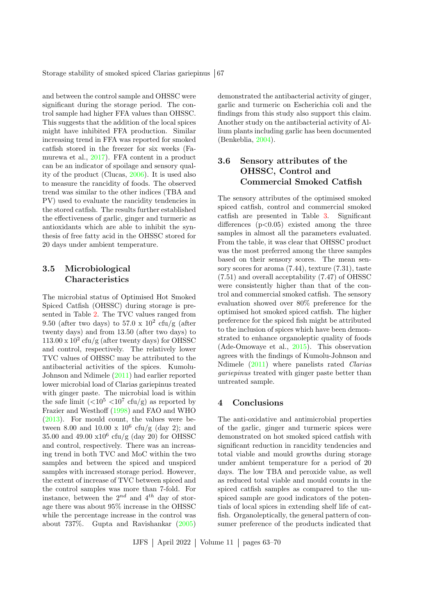Storage stability of smoked spiced Clarias gariepinus  $\vert 67 \rangle$ 

and between the control sample and OHSSC were significant during the storage period. The control sample had higher FFA values than OHSSC. This suggests that the addition of the local spices might have inhibited FFA production. Similar increasing trend in FFA was reported for smoked catfish stored in the freezer for six weeks (Famurewa et al., [2017\)](#page-6-12). FFA content in a product can be an indicator of spoilage and sensory quality of the product (Clucas, [2006\)](#page-6-3). It is used also to measure the rancidity of foods. The observed trend was similar to the other indices (TBA and PV) used to evaluate the rancidity tendencies in the stored catfish. The results further established the effectiveness of garlic, ginger and turmeric as antioxidants which are able to inhibit the synthesis of free fatty acid in the OHSSC stored for 20 days under ambient temperature.

### 3.5 Microbiological Characteristics

The microbial status of Optimised Hot Smoked Spiced Catfish (OHSSC) during storage is presented in Table [2.](#page-5-3) The TVC values ranged from 9.50 (after two days) to 57.0 x  $10^2$  cfu/g (after twenty days) and from 13.50 (after two days) to  $113.00 \times 10^2$  cfu/g (after twenty days) for OHSSC and control, respectively. The relatively lower TVC values of OHSSC may be attributed to the antibacterial activities of the spices. Kumolu-Johnson and Ndimele [\(2011\)](#page-6-13) had earlier reported lower microbial load of Clarias gariepinus treated with ginger paste. The microbial load is within the safe limit  $\left( \langle 10^5 \langle 10^7 \langle 10 \rangle \rangle \right)$  as reported by Frazier and Westhoff [\(1998\)](#page-6-14) and FAO and WHO [\(2013\)](#page-6-15). For mould count, the values were between 8.00 and 10.00 x  $10^6$  cfu/g (day 2); and 35.00 and 49.00  $x10^6$  cfu/g (day 20) for OHSSC and control, respectively. There was an increasing trend in both TVC and MoC within the two samples and between the spiced and unspiced samples with increased storage period. However, the extent of increase of TVC between spiced and the control samples was more than 7-fold. For instance, between the  $2^{nd}$  and  $4^{th}$  day of storage there was about 95% increase in the OHSSC while the percentage increase in the control was about 737%. Gupta and Ravishankar [\(2005\)](#page-6-16) demonstrated the antibacterial activity of ginger, garlic and turmeric on Escherichia coli and the findings from this study also support this claim. Another study on the antibacterial activity of Allium plants including garlic has been documented (Benkeblia, [2004\)](#page-6-17).

# 3.6 Sensory attributes of the OHSSC, Control and Commercial Smoked Catfish

The sensory attributes of the optimised smoked spiced catfish, control and commercial smoked catfish are presented in Table [3.](#page-5-4) Significant differences  $(p<0.05)$  existed among the three samples in almost all the parameters evaluated. From the table, it was clear that OHSSC product was the most preferred among the three samples based on their sensory scores. The mean sensory scores for aroma (7.44), texture (7.31), taste (7.51) and overall acceptability (7.47) of OHSSC were consistently higher than that of the control and commercial smoked catfish. The sensory evaluation showed over 80% preference for the optimised hot smoked spiced catfish. The higher preference for the spiced fish might be attributed to the inclusion of spices which have been demonstrated to enhance organoleptic quality of foods (Ade-Omowaye et al., [2015\)](#page-5-5). This observation agrees with the findings of Kumolu-Johnson and Ndimele [\(2011\)](#page-6-13) where panelists rated Clarias gariepinus treated with ginger paste better than untreated sample.

### 4 Conclusions

The anti-oxidative and antimicrobial properties of the garlic, ginger and turmeric spices were demonstrated on hot smoked spiced catfish with significant reduction in rancidity tendencies and total viable and mould growths during storage under ambient temperature for a period of 20 days. The low TBA and peroxide value, as well as reduced total viable and mould counts in the spiced catfish samples as compared to the unspiced sample are good indicators of the potentials of local spices in extending shelf life of catfish. Organoleptically, the general pattern of consumer preference of the products indicated that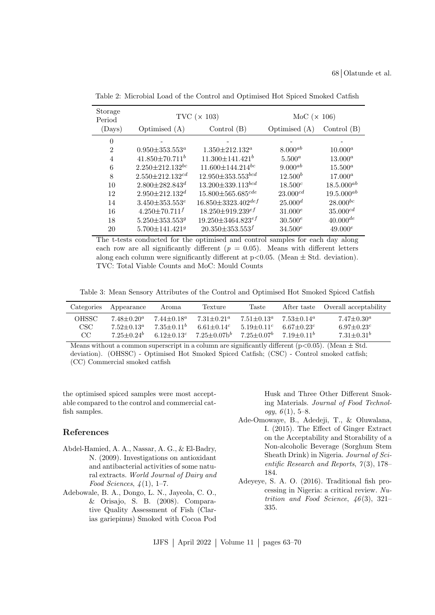| Storage<br>Period |                                  | TVC $(\times 103)$                  | MoC $(\times 106)$ |                 |  |
|-------------------|----------------------------------|-------------------------------------|--------------------|-----------------|--|
| (Days)            | Optimised $(A)$                  | Control $(B)$                       | Optimised $(A)$    | Control $(B)$   |  |
| $\theta$          |                                  |                                     |                    |                 |  |
| $\overline{2}$    | $0.950 \pm 353.553^a$            | $1.350 \pm 212.132^a$               | $8.000^{ab}$       | $10.000^a$      |  |
| $\overline{4}$    | $41.850 \pm 70.711^b$            | $11.300 \pm 141.421^b$              | $5.500^a$          | $13.000^a$      |  |
| 6                 | $2.250 \pm 212.132^{bc}$         | $11.600 \pm 144.214^{bc}$           | $9.000^{ab}$       | $15.500^a$      |  |
| 8                 | $2.550 \pm 212.132^{cd}$         | $12.950 \pm 353.553^{bcd}$          | $12.500^b$         | $17.000^a$      |  |
| 10                | $2.800 \pm 282.843^d$            | $13.200 \pm 339.113^{bcd}$          | $18.500^{c}$       | $18.5.000^{ab}$ |  |
| 12                | $2.950 \pm 212.132^d$            | $15.800\pm565.685^{cde}$            | $23.000^{cd}$      | $19.5.000^{ab}$ |  |
| 14                | $3.450 \pm 353.553^e$            | $16.850 \pm 3323.402^{def}$         | $25.000^d$         | $28.000^{bc}$   |  |
| 16                | $4.250 \pm 70.711^f$             | $18.250 \pm 919.239$ <sup>ef</sup>  | $31.000^e$         | $35.000^{cd}$   |  |
| 18                | $5.250 \pm 353.553$ <sup>g</sup> | $19.250 \pm 3464.823$ <sup>ef</sup> | $30.500^e$         | $40.000^{de}$   |  |
| 20                | $5.700 \pm 141.421$ <sup>g</sup> | $20.350 \pm 353.553^f$              | $34.500^e$         | $49.000^e$      |  |

<span id="page-5-3"></span>Table 2: Microbial Load of the Control and Optimised Hot Spiced Smoked Catfish

The t-tests conducted for the optimised and control samples for each day along each row are all significantly different  $(p = 0.05)$ . Means with different letters along each column were significantly different at  $p<0.05$ . (Mean  $\pm$  Std. deviation). TVC: Total Viable Counts and MoC: Mould Counts

<span id="page-5-4"></span>Table 3: Mean Sensory Attributes of the Control and Optimised Hot Smoked Spiced Catfish

|                      | Categories Appearance                                 | Aroma                              | Texture                                                                                          | 'l'aste                                                          |                                                 | After taste Overall acceptability                         |
|----------------------|-------------------------------------------------------|------------------------------------|--------------------------------------------------------------------------------------------------|------------------------------------------------------------------|-------------------------------------------------|-----------------------------------------------------------|
| OHSSC-<br>CSC.<br>CC | $7.48 + 0.20^a$<br>$7.52 + 0.13^a$<br>$7.25 + 0.24^b$ | $7.44 \pm 0.18^a$<br>$7.35+0.11^b$ | $7.31 + 0.21^a$<br>$6.61 + 0.14c$<br>$6.12 \pm 0.13$ <sup>c</sup> $7.25 \pm 0.07$ b <sup>b</sup> | $7.51 + 0.13^a$<br>$5.19 \pm 0.11$ <sup>c</sup><br>$7.25 + 0.07$ | $7.53 + 0.14^a$<br>$-6.67 + 0.23$<br>$719+011b$ | $7.47 \pm 0.30^a$<br>$6.97 \pm 0.23^c$<br>$7.31 + 0.31^b$ |

Means without a common superscript in a column are significantly different ( $p<0.05$ ). (Mean  $\pm$  Std. deviation). (OHSSC) - Optimised Hot Smoked Spiced Catfish; (CSC) - Control smoked catfish; (CC) Commercial smoked catfish

the optimised spiced samples were most acceptable compared to the control and commercial catfish samples.

#### References

- <span id="page-5-2"></span>Abdel-Hamied, A. A., Nassar, A. G., & El-Badry, N. (2009). Investigations on antioxidant and antibacterial activities of some natural extracts. World Journal of Dairy and Food Sciences,  $\lambda(1)$ , 1–7.
- <span id="page-5-0"></span>Adebowale, B. A., Dongo, L. N., Jayeola, C. O., & Orisajo, S. B. (2008). Comparative Quality Assessment of Fish (Clarias gariepinus) Smoked with Cocoa Pod

Husk and Three Other Different Smoking Materials. Journal of Food Technology,  $6(1)$ , 5–8.

- <span id="page-5-5"></span>Ade-Omowaye, B., Adedeji, T., & Oluwalana, I. (2015). The Effect of Ginger Extract on the Acceptability and Storability of a Non-alcoholic Beverage (Sorghum Stem Sheath Drink) in Nigeria. Journal of Scientific Research and Reports,  $7(3)$ , 178– 184.
- <span id="page-5-1"></span>Adeyeye, S. A. O. (2016). Traditional fish processing in Nigeria: a critical review. Nutrition and Food Science,  $46(3)$ , 321-335.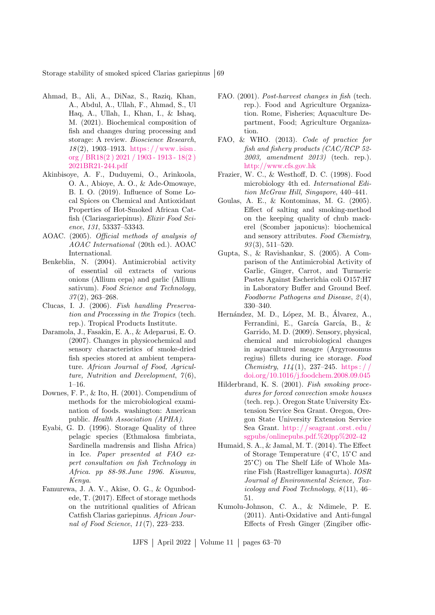Storage stability of smoked spiced Clarias gariepinus 69

- <span id="page-6-0"></span>Ahmad, B., Ali, A., DiNaz, S., Raziq, Khan, A., Abdul, A., Ullah, F., Ahmad, S., Ul Haq, A., Ullah, I., Khan, I., & Ishaq, M. (2021). Biochemical composition of fish and changes during processing and storage: A review. Bioscience Research,  $18(2)$ , 1903–1913. https://www.isisn. [org / BR18\(2 \) 2021 / 1903 - 1913 - 18\(2 \)](https://www.isisn.org/BR18(2)2021/1903-1913-18(2)2021BR21-244.pdf) [2021BR21-244.pdf](https://www.isisn.org/BR18(2)2021/1903-1913-18(2)2021BR21-244.pdf)
- <span id="page-6-7"></span>Akinbisoye, A. F., Duduyemi, O., Arinkoola, O. A., Abioye, A. O., & Ade-Omowaye, B. I. O. (2019). Influence of Some Local Spices on Chemical and Antioxidant Properties of Hot-Smoked African Catfish (Clariasgariepinus). Elixir Food Science, 131, 53337–53343.
- <span id="page-6-8"></span>AOAC. (2005). Official methods of analysis of AOAC International (20th ed.). AOAC International.
- <span id="page-6-17"></span>Benkeblia, N. (2004). Antimicrobial activity of essential oil extracts of various onions (Allium cepa) and garlic (Allium sativum). Food Science and Technology,  $37(2)$ , 263-268.
- <span id="page-6-3"></span>Clucas, I. J. (2006). Fish handling Preservation and Processing in the Tropics (tech. rep.). Tropical Products Institute.
- <span id="page-6-5"></span>Daramola, J., Fasakin, E. A., & Adeparusi, E. O. (2007). Changes in physicochemical and sensory characteristics of smoke-dried fish species stored at ambient temperature. African Journal of Food, Agriculture, Nutrition and Development,  $7(6)$ , 1–16.
- <span id="page-6-9"></span>Downes, F. P., & Ito, H. (2001). Compendium of methods for the microbiological examination of foods. washington: American public. Health Association (APHA).
- <span id="page-6-2"></span>Eyabi, G. D. (1996). Storage Quality of three pelagic species (Ethmalosa fimbriata, Sardinella madrensis and Ilisha Africa) in Ice. Paper presented at FAO expert consultation on fish Technology in Africa. pp 88-98.June 1996. Kisumu, Kenya.
- <span id="page-6-12"></span>Famurewa, J. A. V., Akise, O. G., & Ogunbodede, T. (2017). Effect of storage methods on the nutritional qualities of African Catfish Clarias gariepinus. African Journal of Food Science, 11 (7), 223–233.
- <span id="page-6-4"></span>FAO. (2001). Post-harvest changes in fish (tech. rep.). Food and Agriculture Organization. Rome, Fisheries; Aquaculture Department, Food; Agriculture Organization.
- <span id="page-6-15"></span>FAO, & WHO. (2013). Code of practice for fish and fishery products (CAC/RCP 52- 2003, amendment 2013) (tech. rep.). <http://www.cfs.gov.hk>
- <span id="page-6-14"></span>Frazier, W. C., & Westhoff, D. C. (1998). Food microbiology 4th ed. International Edition McGraw Hill, Singapore, 440–441.
- <span id="page-6-10"></span>Goulas, A. E., & Kontominas, M. G. (2005). Effect of salting and smoking-method on the keeping quality of chub mackerel (Scomber japonicus): biochemical and sensory attributes. Food Chemistry,  $93(3), 511-520.$
- <span id="page-6-16"></span>Gupta, S., & Ravishankar, S. (2005). A Comparison of the Antimicrobial Activity of Garlic, Ginger, Carrot, and Turmeric Pastes Against Escherichia coli O157:H7 in Laboratory Buffer and Ground Beef. Foodborne Pathogens and Disease,  $2(4)$ , 330–340.
- <span id="page-6-11"></span>Hernández, M. D., López, M. B., Álvarez, A., Ferrandini, E., García García, B., & Garrido, M. D. (2009). Sensory, physical, chemical and microbiological changes in aquacultured meagre (Argyrosomus regius) fillets during ice storage. Food  $Chemistry, 114(1), 237-245. <sub>https://www.spt.org/30032-2015.</sub>$ [doi.org/10.1016/j.foodchem.2008.09.045](https://doi.org/10.1016/j.foodchem.2008.09.045)
- <span id="page-6-6"></span>Hilderbrand, K. S. (2001). Fish smoking procedures for forced convection smoke houses (tech. rep.). Oregon State University Extension Service Sea Grant. Oregon, Oregon State University Extension Service Sea Grant. [http: / / seagrant. orst. edu /](http://seagrant.orst.edu/sgpubs/onlinepubs.pdf.%20pp%202-42) [sgpubs/onlinepubs.pdf.%20pp%202-42](http://seagrant.orst.edu/sgpubs/onlinepubs.pdf.%20pp%202-42)
- <span id="page-6-1"></span>Humaid, S. A., & Jamal, M. T. (2014). The Effect of Storage Temperature (4°C, 15°C and 25°C) on The Shelf Life of Whole Marine Fish (Rastrelliger kanagurta). IOSR Journal of Environmental Science, Toxicology and Food Technology,  $8(11)$ , 46– 51.
- <span id="page-6-13"></span>Kumolu-Johnson, C. A., & Ndimele, P. E. (2011). Anti-Oxidative and Anti-fungal Effects of Fresh Ginger (Zingiber offic-